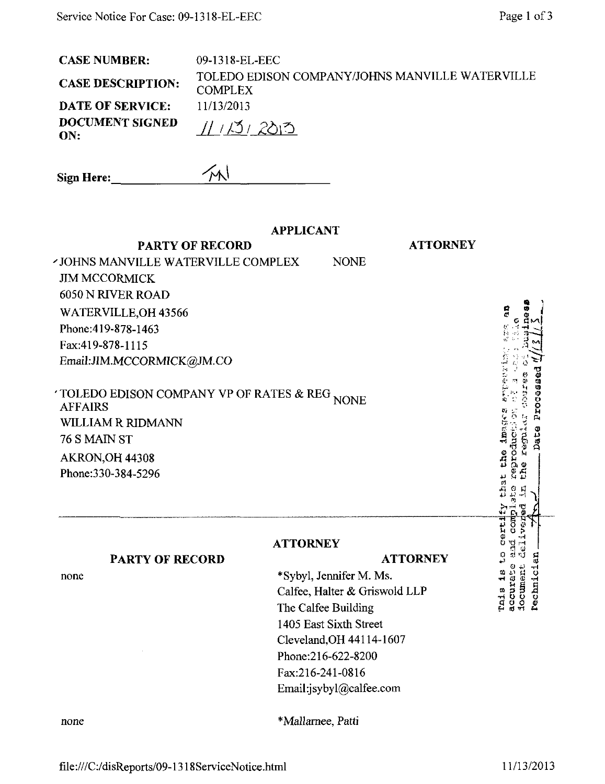| <b>CASE NUMBER:</b>      | 09-1318-EL-EEC                                                    |
|--------------------------|-------------------------------------------------------------------|
| <b>CASE DESCRIPTION:</b> | TOLEDO EDISON COMPANY/JOHNS MANVILLE WATERVILLE<br><b>COMPLEX</b> |
| <b>DATE OF SERVICE:</b>  | 11/13/2013                                                        |
| DOCUMENT SIGNED<br>ON:   | 11131205                                                          |
| $\sim$<br>$\mathbf{r}$   |                                                                   |

| Sign Here: | ′M∖ |  |
|------------|-----|--|
|            |     |  |

**PARTY OF RECORD** 

# **APPLICANT**

**ATTORNEY** 

| <b>JOHNS MANVILLE WATERVILLE COMPLEX</b>     | NONE |
|----------------------------------------------|------|
| <b>JIM MCCORMICK</b>                         |      |
| 6050 N RIVER ROAD                            |      |
| WATERVILLE, OH 43566                         |      |
| Phone: 419-878-1463                          |      |
| Fax:419-878-1115                             |      |
| Email:JIM.MCCORMICK@JM.CO                    |      |
| TOLEDO EDISON COMPANY VP OF RATES & REG NONE |      |
| <b>AFFAIRS</b>                               |      |
| <b>WILLIAM R RIDMANN</b>                     |      |

76 S MAIN ST AKRON, OH 44308 Phone: 330-384-5296

### **ATTORNEY**

# **ATTORNEY PARTY OF RECORD** \*Sybyl, Jennifer M. Ms. Calfee, Halter & Griswold LLP The Calfee Building 1405 East Sixth Street Cleveland, OH 44114-1607

Phone:216-622-8200 Fax:216-241-0816

Email:jsybyl@calfee.com

ă **Premaring** Date Processed the image? reproducii or regal<sub>s</sub>  $\frac{1}{2}$ Ġ comp hen. Tais is to certi pos  $\frac{1}{2}$ document accurate rechnici

Page 1 of 3

none

none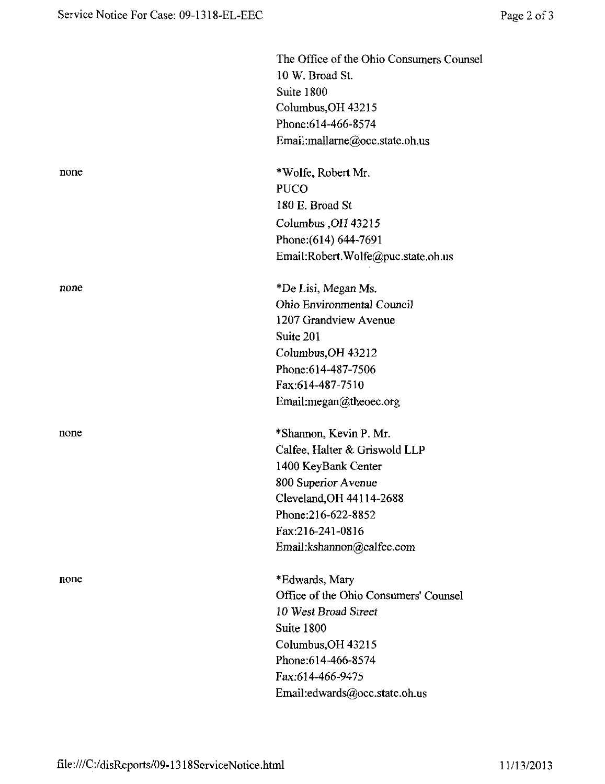|      | The Office of the Ohio Consumers Counsel<br>10 W. Broad St. |
|------|-------------------------------------------------------------|
|      | Suite 1800                                                  |
|      | Columbus, OH 43215                                          |
|      | Phone: 614-466-8574                                         |
|      | Email:mallarne@occ.state.oh.us                              |
| none | *Wolfe, Robert Mr.                                          |
|      | <b>PUCO</b>                                                 |
|      | 180 E. Broad St                                             |
|      | Columbus, OH 43215                                          |
|      | Phone: (614) 644-7691                                       |
|      | Email:Robert.Wolfe@puc.state.oh.us                          |
| none | *De Lisi, Megan Ms.                                         |
|      | Ohio Environmental Council                                  |
|      | 1207 Grandview Avenue                                       |
|      | Suite 201                                                   |
|      | Columbus, OH 43212                                          |
|      | Phone: 614-487-7506                                         |
|      | Fax:614-487-7510                                            |
|      | Email:megan@theoec.org                                      |
| none | *Shannon, Kevin P. Mr.                                      |
|      | Calfee, Halter & Griswold LLP                               |
|      | 1400 KeyBank Center                                         |
|      | 800 Superior Avenue                                         |
|      | Cleveland, OH 44114-2688                                    |
|      | Phone:216-622-8852                                          |
|      | Fax:216-241-0816                                            |
|      | Email:kshannon@calfee.com                                   |
| none | *Edwards, Mary                                              |
|      | Office of the Ohio Consumers' Counsel                       |
|      | 10 West Broad Street                                        |
|      | Suite 1800                                                  |
|      | Columbus, OH 43215                                          |
|      | Phone: 614-466-8574                                         |
|      | Fax:614-466-9475                                            |
|      | Email:edwards@occ.state.oh.us                               |